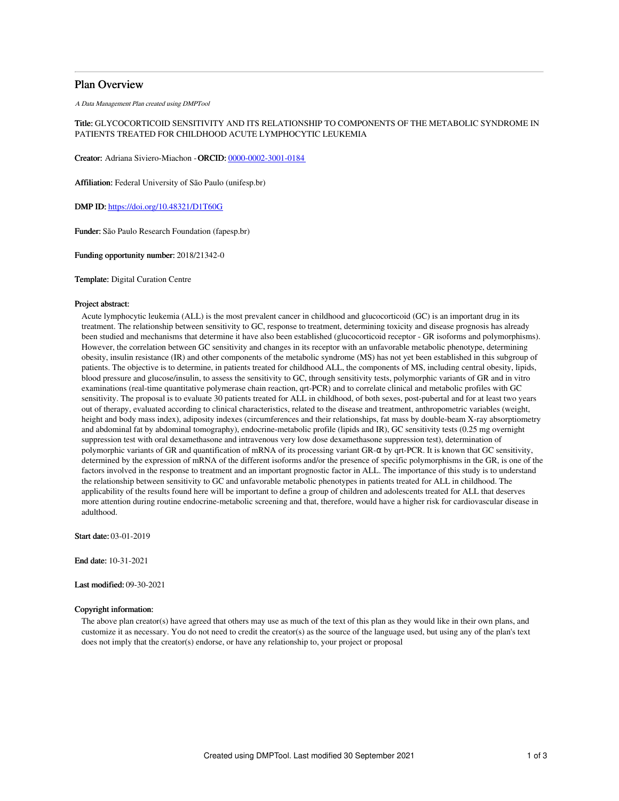# Plan Overview

A Data Management Plan created using DMPTool

# Title: GLYCOCORTICOID SENSITIVITY AND ITS RELATIONSHIP TO COMPONENTS OF THE METABOLIC SYNDROME IN PATIENTS TREATED FOR CHILDHOOD ACUTE LYMPHOCYTIC LEUKEMIA

Creator: Adriana Siviero-Miachon -ORCID: [0000-0002-3001-0184](https://orcid.org/0000-0002-3001-0184)

Affiliation: Federal University of São Paulo (unifesp.br)

DMP ID: <https://doi.org/10.48321/D1T60G>

Funder: São Paulo Research Foundation (fapesp.br)

Funding opportunity number: 2018/21342-0

Template: Digital Curation Centre

### Project abstract:

Acute lymphocytic leukemia (ALL) is the most prevalent cancer in childhood and glucocorticoid (GC) is an important drug in its treatment. The relationship between sensitivity to GC, response to treatment, determining toxicity and disease prognosis has already been studied and mechanisms that determine it have also been established (glucocorticoid receptor - GR isoforms and polymorphisms). However, the correlation between GC sensitivity and changes in its receptor with an unfavorable metabolic phenotype, determining obesity, insulin resistance (IR) and other components of the metabolic syndrome (MS) has not yet been established in this subgroup of patients. The objective is to determine, in patients treated for childhood ALL, the components of MS, including central obesity, lipids, blood pressure and glucose/insulin, to assess the sensitivity to GC, through sensitivity tests, polymorphic variants of GR and in vitro examinations (real-time quantitative polymerase chain reaction, qrt-PCR) and to correlate clinical and metabolic profiles with GC sensitivity. The proposal is to evaluate 30 patients treated for ALL in childhood, of both sexes, post-pubertal and for at least two years out of therapy, evaluated according to clinical characteristics, related to the disease and treatment, anthropometric variables (weight, height and body mass index), adiposity indexes (circumferences and their relationships, fat mass by double-beam X-ray absorptiometry and abdominal fat by abdominal tomography), endocrine-metabolic profile (lipids and IR), GC sensitivity tests (0.25 mg overnight suppression test with oral dexamethasone and intravenous very low dose dexamethasone suppression test), determination of polymorphic variants of GR and quantification of mRNA of its processing variant GR-α by qrt-PCR. It is known that GC sensitivity, determined by the expression of mRNA of the different isoforms and/or the presence of specific polymorphisms in the GR, is one of the factors involved in the response to treatment and an important prognostic factor in ALL. The importance of this study is to understand the relationship between sensitivity to GC and unfavorable metabolic phenotypes in patients treated for ALL in childhood. The applicability of the results found here will be important to define a group of children and adolescents treated for ALL that deserves more attention during routine endocrine-metabolic screening and that, therefore, would have a higher risk for cardiovascular disease in adulthood.

Start date: 03-01-2019

End date: 10-31-2021

Last modified: 09-30-2021

# Copyright information:

The above plan creator(s) have agreed that others may use as much of the text of this plan as they would like in their own plans, and customize it as necessary. You do not need to credit the creator(s) as the source of the language used, but using any of the plan's text does not imply that the creator(s) endorse, or have any relationship to, your project or proposal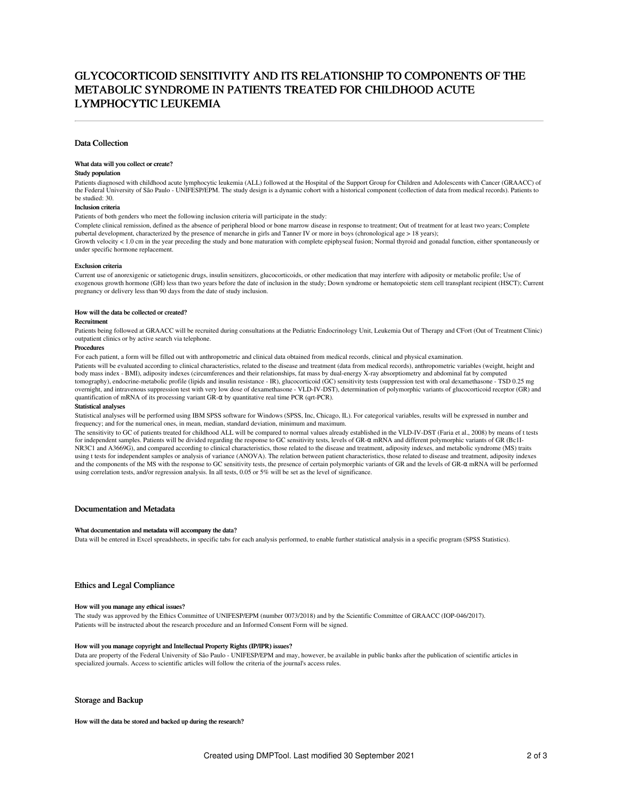# GLYCOCORTICOID SENSITIVITY AND ITS RELATIONSHIP TO COMPONENTS OF THE METABOLIC SYNDROME IN PATIENTS TREATED FOR CHILDHOOD ACUTE LYMPHOCYTIC LEUKEMIA

### Data Collection

#### What data will you collect or create?

### Study population

Patients diagnosed with childhood acute lymphocytic leukemia (ALL) followed at the Hospital of the Support Group for Children and Adolescents with Cancer (GRAACC) of the Federal University of São Paulo - UNIFESP/EPM. The study design is a dynamic cohort with a historical component (collection of data from medical records). Patients to be studied: 30.

#### Inclusion criteria

Patients of both genders who meet the following inclusion criteria will participate in the study:

Complete clinical remission, defined as the absence of peripheral blood or bone marrow disease in response to treatment; Out of treatment for at least two years; Complete pubertal development, characterized by the presence of menarche in girls and Tanner IV or more in boys (chronological age > 18 years); Growth velocity < 1.0 cm in the year preceding the study and bone maturation with complete epiphyseal fusion; Normal thyroid and gonadal function, either spontaneously or under specific hormone replacement.

#### Exclusion criteria

Current use of anorexigenic or satietogenic drugs, insulin sensitizers, glucocorticoids, or other medication that may interfere with adiposity or metabolic profile; Use of exogenous growth hormone (GH) less than two years before the date of inclusion in the study; Down syndrome or hematopoietic stem cell transplant recipient (HSCT); Current pregnancy or delivery less than 90 days from the date of study inclusion.

#### How will the data be collected or created?

#### Recruitment

Patients being followed at GRAACC will be recruited during consultations at the Pediatric Endocrinology Unit, Leukemia Out of Therapy and CFort (Out of Treatment Clinic) outpatient clinics or by active search via telephone.

### Procedures

For each patient, a form will be filled out with anthropometric and clinical data obtained from medical records, clinical and physical examination.

Patients will be evaluated according to clinical characteristics, related to the disease and treatment (data from medical records), anthropometric variables (weight, height and body mass index - BMI), adiposity indexes (circumferences and their relationships, fat mass by dual-energy X-ray absorptiometry and abdominal fat by computed tomography), endocrine-metabolic profile (lipids and insulin resistance - IR), glucocorticoid (GC) sensitivity tests (suppression test with oral dexamethasone - TSD 0.25 mg overnight, and intravenous suppression test with very low dose of dexamethasone - VLD-IV-DST), determination of polymorphic variants of glucocorticoid receptor (GR) and quantification of mRNA of its processing variant GR-α by quantitative real time PCR (qrt-PCR).

#### Statistical analyses

Statistical analyses will be performed using IBM SPSS software for Windows (SPSS, Inc, Chicago, IL). For categorical variables, results will be expressed in number and frequency; and for the numerical ones, in mean, median, standard deviation, minimum and maximum.

The sensitivity to GC of patients treated for childhood ALL will be compared to normal values already established in the VLD-IV-DST (Faria et al., 2008) by means of t tests for independent samples. Patients will be divided regarding the response to GC sensitivity tests, levels of GR-α mRNA and different polymorphic variants of GR (Bc1I-NR3C1 and A3669G), and compared according to clinical characteristics, those related to the disease and treatment, adiposity indexes, and metabolic syndrome (MS) traits using t tests for independent samples or analysis of variance (ANOVA). The relation between patient characteristics, those related to disease and treatment, adiposity indexes and the components of the MS with the response to GC sensitivity tests, the presence of certain polymorphic variants of GR and the levels of GR- $\alpha$  mRNA will be performed using correlation tests, and/or regression analysis. In all tests, 0.05 or 5% will be set as the level of significance.

#### Documentation and Metadata

#### What documentation and metadata will accompany the data?

Data will be entered in Excel spreadsheets, in specific tabs for each analysis performed, to enable further statistical analysis in a specific program (SPSS Statistics).

### Ethics and Legal Compliance

#### How will you manage any ethical issues?

The study was approved by the Ethics Committee of UNIFESP/EPM (number 0073/2018) and by the Scientific Committee of GRAACC (IOP-046/2017). Patients will be instructed about the research procedure and an Informed Consent Form will be signed.

### How will you manage copyright and Intellectual Property Rights (IP/IPR) issues?

Data are property of the Federal University of São Paulo - UNIFESP/EPM and may, however, be available in public banks after the publication of scientific articles in specialized journals. Access to scientific articles will follow the criteria of the journal's access rules.

### Storage and Backup

How will the data be stored and backed up during the research?